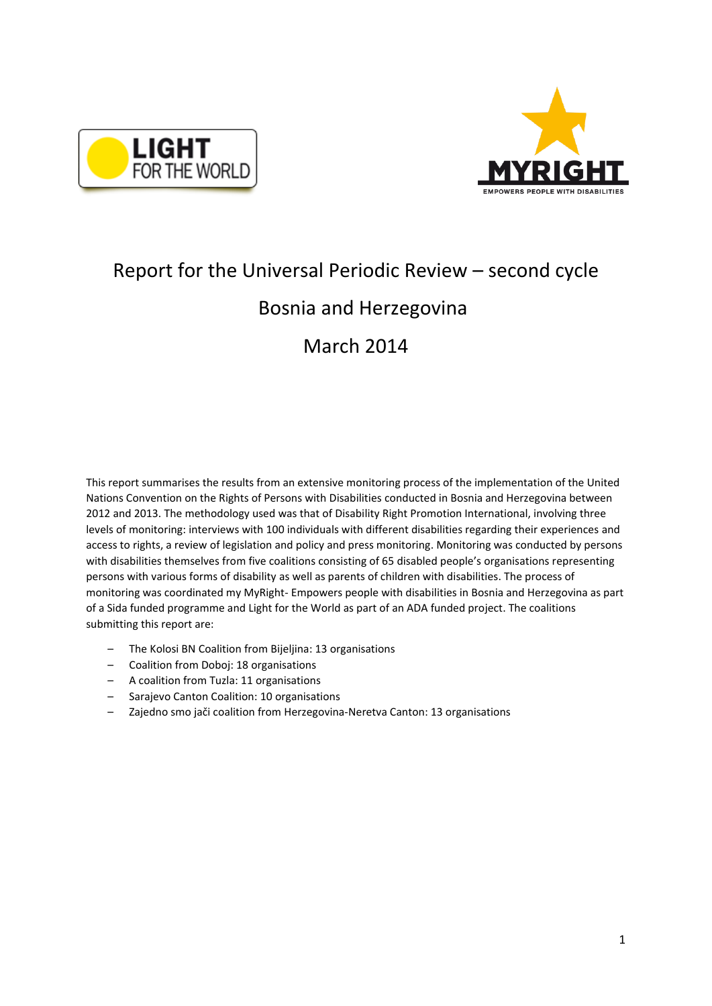



# Report for the Universal Periodic Review – second cycle Bosnia and Herzegovina

# March 2014

This report summarises the results from an extensive monitoring process of the implementation of the United Nations Convention on the Rights of Persons with Disabilities conducted in Bosnia and Herzegovina between 2012 and 2013. The methodology used was that of Disability Right Promotion International, involving three levels of monitoring: interviews with 100 individuals with different disabilities regarding their experiences and access to rights, a review of legislation and policy and press monitoring. Monitoring was conducted by persons with disabilities themselves from five coalitions consisting of 65 disabled people's organisations representing persons with various forms of disability as well as parents of children with disabilities. The process of monitoring was coordinated my MyRight- Empowers people with disabilities in Bosnia and Herzegovina as part of a Sida funded programme and Light for the World as part of an ADA funded project. The coalitions submitting this report are:

- The Kolosi BN Coalition from Bijeljina: 13 organisations
- Coalition from Doboj: 18 organisations
- A coalition from Tuzla: 11 organisations
- Sarajevo Canton Coalition: 10 organisations
- Zajedno smo jači coalition from Herzegovina-Neretva Canton: 13 organisations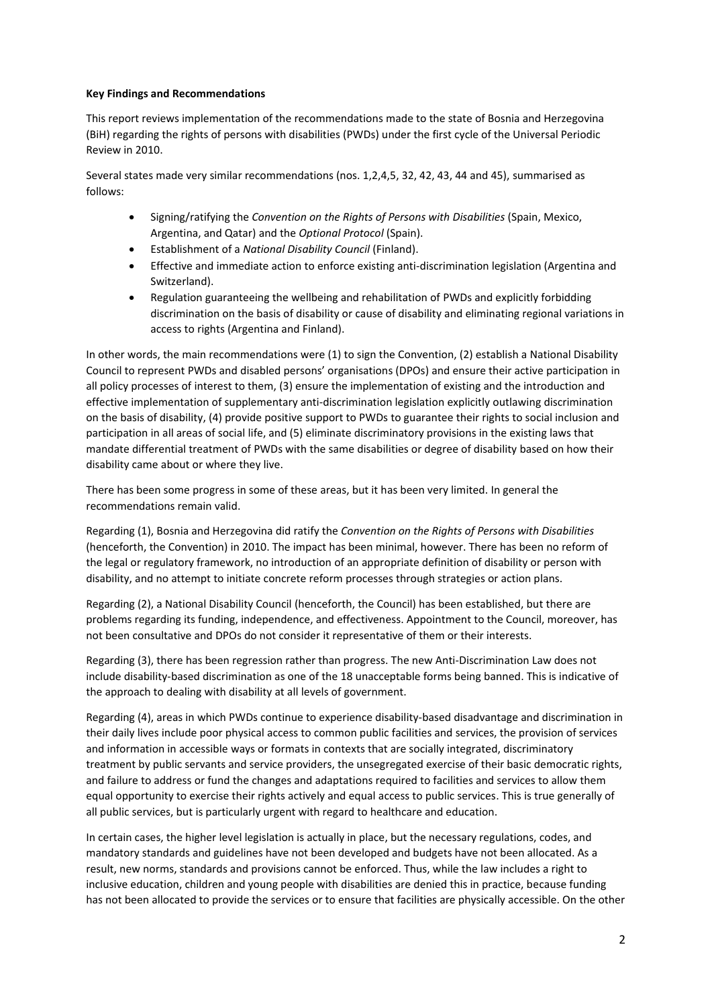### **Key Findings and Recommendations**

This report reviews implementation of the recommendations made to the state of Bosnia and Herzegovina (BiH) regarding the rights of persons with disabilities (PWDs) under the first cycle of the Universal Periodic Review in 2010.

Several states made very similar recommendations (nos. 1,2,4,5, 32, 42, 43, 44 and 45), summarised as follows:

- Signing/ratifying the *Convention on the Rights of Persons with Disabilities* (Spain, Mexico, Argentina, and Qatar) and the *Optional Protocol* (Spain).
- Establishment of a *National Disability Council* (Finland).
- Effective and immediate action to enforce existing anti-discrimination legislation (Argentina and Switzerland).
- Regulation guaranteeing the wellbeing and rehabilitation of PWDs and explicitly forbidding discrimination on the basis of disability or cause of disability and eliminating regional variations in access to rights (Argentina and Finland).

In other words, the main recommendations were (1) to sign the Convention, (2) establish a National Disability Council to represent PWDs and disabled persons' organisations (DPOs) and ensure their active participation in all policy processes of interest to them, (3) ensure the implementation of existing and the introduction and effective implementation of supplementary anti-discrimination legislation explicitly outlawing discrimination on the basis of disability, (4) provide positive support to PWDs to guarantee their rights to social inclusion and participation in all areas of social life, and (5) eliminate discriminatory provisions in the existing laws that mandate differential treatment of PWDs with the same disabilities or degree of disability based on how their disability came about or where they live.

There has been some progress in some of these areas, but it has been very limited. In general the recommendations remain valid.

Regarding (1), Bosnia and Herzegovina did ratify the *Convention on the Rights of Persons with Disabilities* (henceforth, the Convention) in 2010. The impact has been minimal, however. There has been no reform of the legal or regulatory framework, no introduction of an appropriate definition of disability or person with disability, and no attempt to initiate concrete reform processes through strategies or action plans.

Regarding (2), a National Disability Council (henceforth, the Council) has been established, but there are problems regarding its funding, independence, and effectiveness. Appointment to the Council, moreover, has not been consultative and DPOs do not consider it representative of them or their interests.

Regarding (3), there has been regression rather than progress. The new Anti-Discrimination Law does not include disability-based discrimination as one of the 18 unacceptable forms being banned. This is indicative of the approach to dealing with disability at all levels of government.

Regarding (4), areas in which PWDs continue to experience disability-based disadvantage and discrimination in their daily lives include poor physical access to common public facilities and services, the provision of services and information in accessible ways or formats in contexts that are socially integrated, discriminatory treatment by public servants and service providers, the unsegregated exercise of their basic democratic rights, and failure to address or fund the changes and adaptations required to facilities and services to allow them equal opportunity to exercise their rights actively and equal access to public services. This is true generally of all public services, but is particularly urgent with regard to healthcare and education.

In certain cases, the higher level legislation is actually in place, but the necessary regulations, codes, and mandatory standards and guidelines have not been developed and budgets have not been allocated. As a result, new norms, standards and provisions cannot be enforced. Thus, while the law includes a right to inclusive education, children and young people with disabilities are denied this in practice, because funding has not been allocated to provide the services or to ensure that facilities are physically accessible. On the other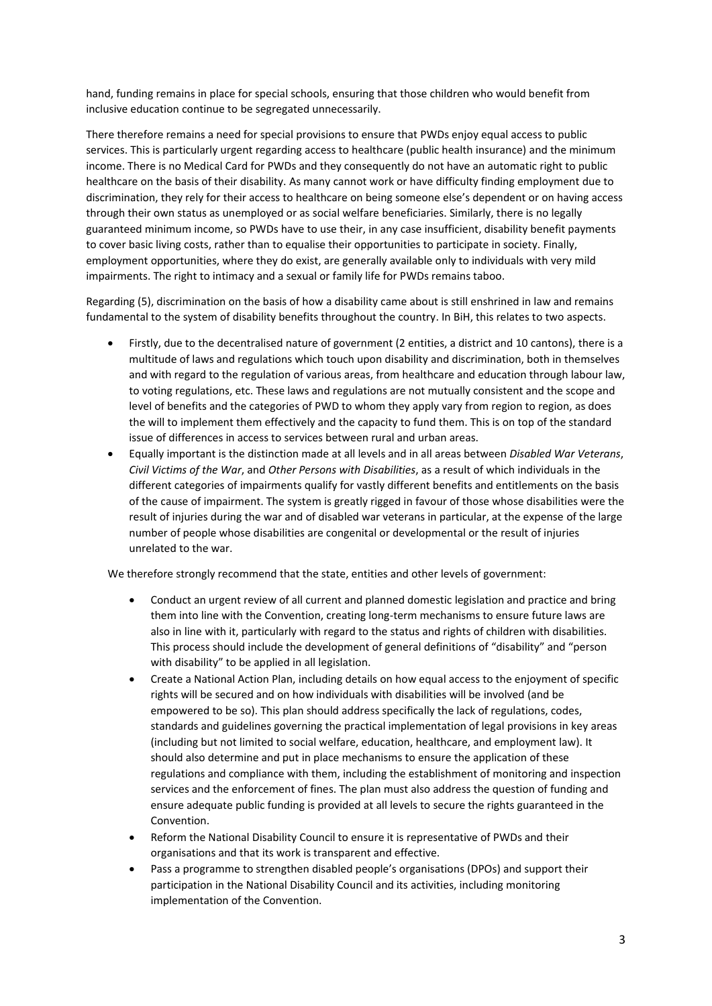hand, funding remains in place for special schools, ensuring that those children who would benefit from inclusive education continue to be segregated unnecessarily.

There therefore remains a need for special provisions to ensure that PWDs enjoy equal access to public services. This is particularly urgent regarding access to healthcare (public health insurance) and the minimum income. There is no Medical Card for PWDs and they consequently do not have an automatic right to public healthcare on the basis of their disability. As many cannot work or have difficulty finding employment due to discrimination, they rely for their access to healthcare on being someone else's dependent or on having access through their own status as unemployed or as social welfare beneficiaries. Similarly, there is no legally guaranteed minimum income, so PWDs have to use their, in any case insufficient, disability benefit payments to cover basic living costs, rather than to equalise their opportunities to participate in society. Finally, employment opportunities, where they do exist, are generally available only to individuals with very mild impairments. The right to intimacy and a sexual or family life for PWDs remains taboo.

Regarding (5), discrimination on the basis of how a disability came about is still enshrined in law and remains fundamental to the system of disability benefits throughout the country. In BiH, this relates to two aspects.

- Firstly, due to the decentralised nature of government (2 entities, a district and 10 cantons), there is a multitude of laws and regulations which touch upon disability and discrimination, both in themselves and with regard to the regulation of various areas, from healthcare and education through labour law, to voting regulations, etc. These laws and regulations are not mutually consistent and the scope and level of benefits and the categories of PWD to whom they apply vary from region to region, as does the will to implement them effectively and the capacity to fund them. This is on top of the standard issue of differences in access to services between rural and urban areas.
- Equally important is the distinction made at all levels and in all areas between *Disabled War Veterans*, *Civil Victims of the War*, and *Other Persons with Disabilities*, as a result of which individuals in the different categories of impairments qualify for vastly different benefits and entitlements on the basis of the cause of impairment. The system is greatly rigged in favour of those whose disabilities were the result of injuries during the war and of disabled war veterans in particular, at the expense of the large number of people whose disabilities are congenital or developmental or the result of injuries unrelated to the war.

We therefore strongly recommend that the state, entities and other levels of government:

- Conduct an urgent review of all current and planned domestic legislation and practice and bring them into line with the Convention, creating long-term mechanisms to ensure future laws are also in line with it, particularly with regard to the status and rights of children with disabilities. This process should include the development of general definitions of "disability" and "person with disability" to be applied in all legislation.
- Create a National Action Plan, including details on how equal access to the enjoyment of specific rights will be secured and on how individuals with disabilities will be involved (and be empowered to be so). This plan should address specifically the lack of regulations, codes, standards and guidelines governing the practical implementation of legal provisions in key areas (including but not limited to social welfare, education, healthcare, and employment law). It should also determine and put in place mechanisms to ensure the application of these regulations and compliance with them, including the establishment of monitoring and inspection services and the enforcement of fines. The plan must also address the question of funding and ensure adequate public funding is provided at all levels to secure the rights guaranteed in the Convention.
- Reform the National Disability Council to ensure it is representative of PWDs and their organisations and that its work is transparent and effective.
- Pass a programme to strengthen disabled people's organisations (DPOs) and support their participation in the National Disability Council and its activities, including monitoring implementation of the Convention.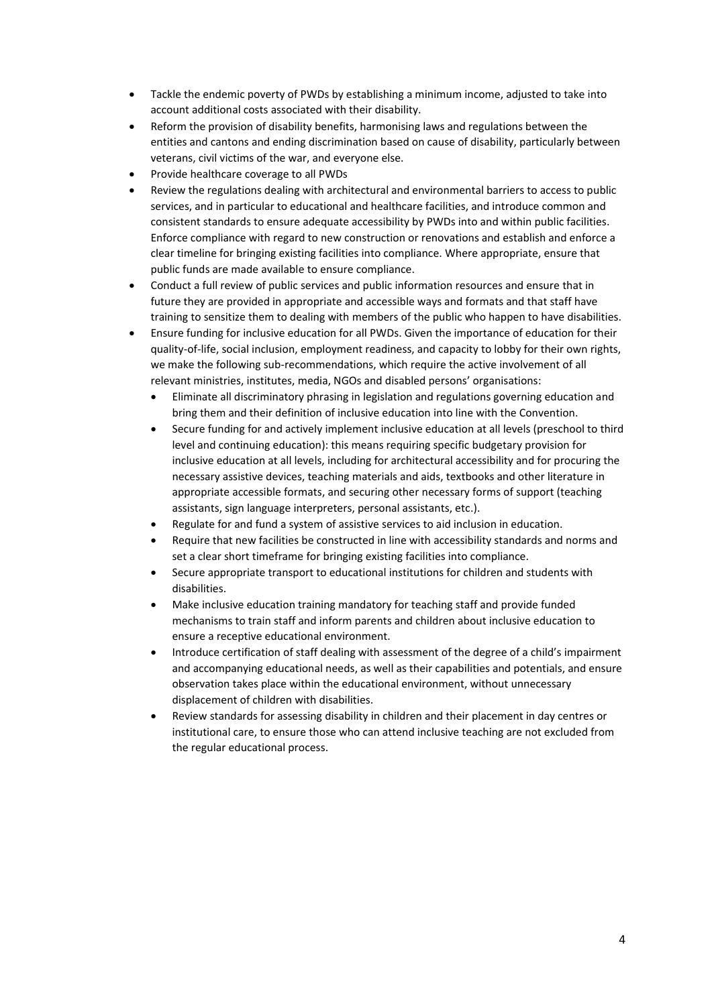- Tackle the endemic poverty of PWDs by establishing a minimum income, adjusted to take into account additional costs associated with their disability.
- Reform the provision of disability benefits, harmonising laws and regulations between the entities and cantons and ending discrimination based on cause of disability, particularly between veterans, civil victims of the war, and everyone else.
- Provide healthcare coverage to all PWDs
- Review the regulations dealing with architectural and environmental barriers to access to public services, and in particular to educational and healthcare facilities, and introduce common and consistent standards to ensure adequate accessibility by PWDs into and within public facilities. Enforce compliance with regard to new construction or renovations and establish and enforce a clear timeline for bringing existing facilities into compliance. Where appropriate, ensure that public funds are made available to ensure compliance.
- Conduct a full review of public services and public information resources and ensure that in future they are provided in appropriate and accessible ways and formats and that staff have training to sensitize them to dealing with members of the public who happen to have disabilities.
- Ensure funding for inclusive education for all PWDs. Given the importance of education for their quality-of-life, social inclusion, employment readiness, and capacity to lobby for their own rights, we make the following sub-recommendations, which require the active involvement of all relevant ministries, institutes, media, NGOs and disabled persons' organisations:
	- Eliminate all discriminatory phrasing in legislation and regulations governing education and bring them and their definition of inclusive education into line with the Convention.
	- Secure funding for and actively implement inclusive education at all levels (preschool to third level and continuing education): this means requiring specific budgetary provision for inclusive education at all levels, including for architectural accessibility and for procuring the necessary assistive devices, teaching materials and aids, textbooks and other literature in appropriate accessible formats, and securing other necessary forms of support (teaching assistants, sign language interpreters, personal assistants, etc.).
	- Regulate for and fund a system of assistive services to aid inclusion in education.
	- Require that new facilities be constructed in line with accessibility standards and norms and set a clear short timeframe for bringing existing facilities into compliance.
	- Secure appropriate transport to educational institutions for children and students with disabilities.
	- Make inclusive education training mandatory for teaching staff and provide funded mechanisms to train staff and inform parents and children about inclusive education to ensure a receptive educational environment.
	- Introduce certification of staff dealing with assessment of the degree of a child's impairment and accompanying educational needs, as well as their capabilities and potentials, and ensure observation takes place within the educational environment, without unnecessary displacement of children with disabilities.
	- Review standards for assessing disability in children and their placement in day centres or institutional care, to ensure those who can attend inclusive teaching are not excluded from the regular educational process.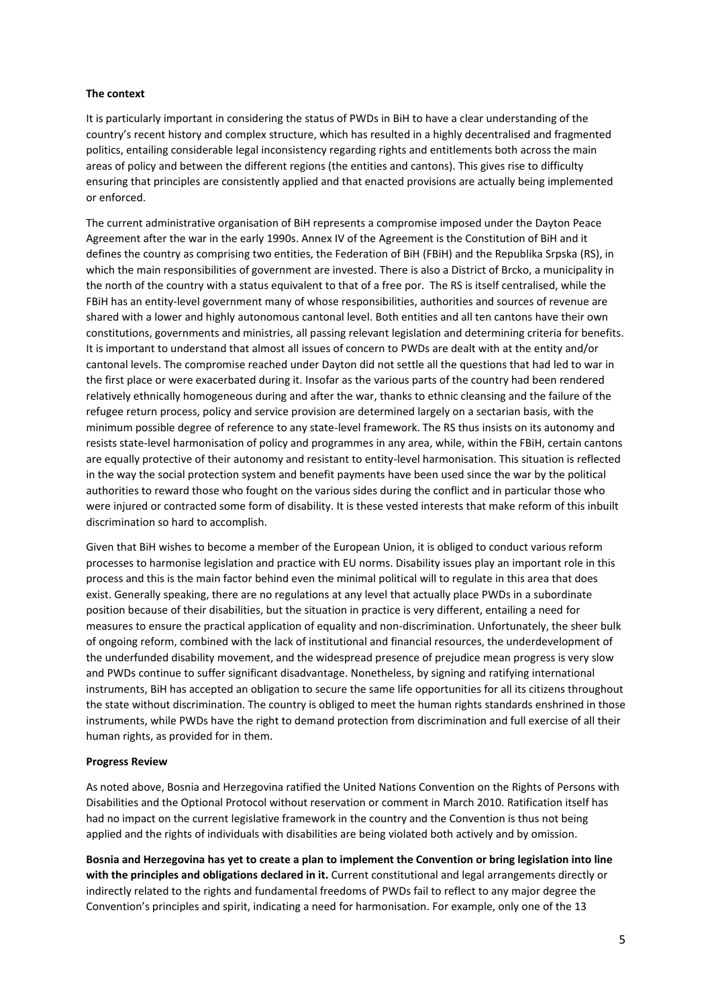#### **The context**

It is particularly important in considering the status of PWDs in BiH to have a clear understanding of the country's recent history and complex structure, which has resulted in a highly decentralised and fragmented politics, entailing considerable legal inconsistency regarding rights and entitlements both across the main areas of policy and between the different regions (the entities and cantons). This gives rise to difficulty ensuring that principles are consistently applied and that enacted provisions are actually being implemented or enforced.

The current administrative organisation of BiH represents a compromise imposed under the Dayton Peace Agreement after the war in the early 1990s. Annex IV of the Agreement is the Constitution of BiH and it defines the country as comprising two entities, the Federation of BiH (FBiH) and the Republika Srpska (RS), in which the main responsibilities of government are invested. There is also a District of Brcko, a municipality in the north of the country with a status equivalent to that of a free por. The RS is itself centralised, while the FBiH has an entity-level government many of whose responsibilities, authorities and sources of revenue are shared with a lower and highly autonomous cantonal level. Both entities and all ten cantons have their own constitutions, governments and ministries, all passing relevant legislation and determining criteria for benefits. It is important to understand that almost all issues of concern to PWDs are dealt with at the entity and/or cantonal levels. The compromise reached under Dayton did not settle all the questions that had led to war in the first place or were exacerbated during it. Insofar as the various parts of the country had been rendered relatively ethnically homogeneous during and after the war, thanks to ethnic cleansing and the failure of the refugee return process, policy and service provision are determined largely on a sectarian basis, with the minimum possible degree of reference to any state-level framework. The RS thus insists on its autonomy and resists state-level harmonisation of policy and programmes in any area, while, within the FBiH, certain cantons are equally protective of their autonomy and resistant to entity-level harmonisation. This situation is reflected in the way the social protection system and benefit payments have been used since the war by the political authorities to reward those who fought on the various sides during the conflict and in particular those who were injured or contracted some form of disability. It is these vested interests that make reform of this inbuilt discrimination so hard to accomplish.

Given that BiH wishes to become a member of the European Union, it is obliged to conduct various reform processes to harmonise legislation and practice with EU norms. Disability issues play an important role in this process and this is the main factor behind even the minimal political will to regulate in this area that does exist. Generally speaking, there are no regulations at any level that actually place PWDs in a subordinate position because of their disabilities, but the situation in practice is very different, entailing a need for measures to ensure the practical application of equality and non-discrimination. Unfortunately, the sheer bulk of ongoing reform, combined with the lack of institutional and financial resources, the underdevelopment of the underfunded disability movement, and the widespread presence of prejudice mean progress is very slow and PWDs continue to suffer significant disadvantage. Nonetheless, by signing and ratifying international instruments, BiH has accepted an obligation to secure the same life opportunities for all its citizens throughout the state without discrimination. The country is obliged to meet the human rights standards enshrined in those instruments, while PWDs have the right to demand protection from discrimination and full exercise of all their human rights, as provided for in them.

#### **Progress Review**

As noted above, Bosnia and Herzegovina ratified the United Nations Convention on the Rights of Persons with Disabilities and the Optional Protocol without reservation or comment in March 2010. Ratification itself has had no impact on the current legislative framework in the country and the Convention is thus not being applied and the rights of individuals with disabilities are being violated both actively and by omission.

**Bosnia and Herzegovina has yet to create a plan to implement the Convention or bring legislation into line with the principles and obligations declared in it.** Current constitutional and legal arrangements directly or indirectly related to the rights and fundamental freedoms of PWDs fail to reflect to any major degree the Convention's principles and spirit, indicating a need for harmonisation. For example, only one of the 13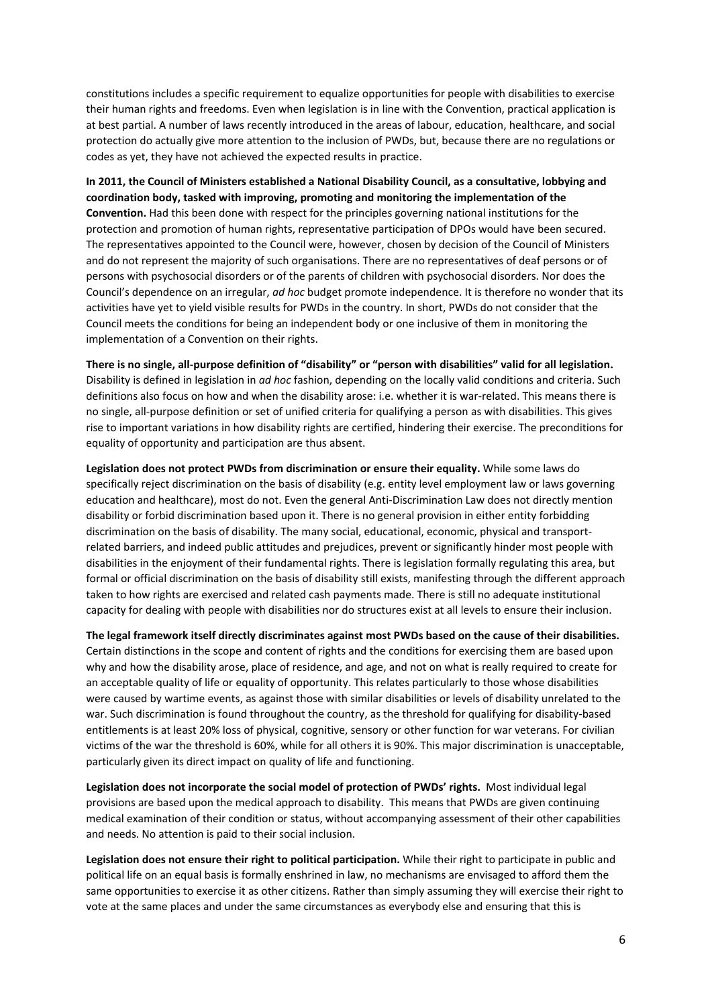constitutions includes a specific requirement to equalize opportunities for people with disabilities to exercise their human rights and freedoms. Even when legislation is in line with the Convention, practical application is at best partial. A number of laws recently introduced in the areas of labour, education, healthcare, and social protection do actually give more attention to the inclusion of PWDs, but, because there are no regulations or codes as yet, they have not achieved the expected results in practice.

**In 2011, the Council of Ministers established a National Disability Council, as a consultative, lobbying and coordination body, tasked with improving, promoting and monitoring the implementation of the Convention.** Had this been done with respect for the principles governing national institutions for the protection and promotion of human rights, representative participation of DPOs would have been secured. The representatives appointed to the Council were, however, chosen by decision of the Council of Ministers and do not represent the majority of such organisations. There are no representatives of deaf persons or of persons with psychosocial disorders or of the parents of children with psychosocial disorders. Nor does the Council's dependence on an irregular, *ad hoc* budget promote independence. It is therefore no wonder that its activities have yet to yield visible results for PWDs in the country. In short, PWDs do not consider that the Council meets the conditions for being an independent body or one inclusive of them in monitoring the implementation of a Convention on their rights.

**There is no single, all-purpose definition of "disability" or "person with disabilities" valid for all legislation.**  Disability is defined in legislation in *ad hoc* fashion, depending on the locally valid conditions and criteria. Such definitions also focus on how and when the disability arose: i.e. whether it is war-related. This means there is no single, all-purpose definition or set of unified criteria for qualifying a person as with disabilities. This gives rise to important variations in how disability rights are certified, hindering their exercise. The preconditions for equality of opportunity and participation are thus absent.

**Legislation does not protect PWDs from discrimination or ensure their equality.** While some laws do specifically reject discrimination on the basis of disability (e.g. entity level employment law or laws governing education and healthcare), most do not. Even the general Anti-Discrimination Law does not directly mention disability or forbid discrimination based upon it. There is no general provision in either entity forbidding discrimination on the basis of disability. The many social, educational, economic, physical and transportrelated barriers, and indeed public attitudes and prejudices, prevent or significantly hinder most people with disabilities in the enjoyment of their fundamental rights. There is legislation formally regulating this area, but formal or official discrimination on the basis of disability still exists, manifesting through the different approach taken to how rights are exercised and related cash payments made. There is still no adequate institutional capacity for dealing with people with disabilities nor do structures exist at all levels to ensure their inclusion.

**The legal framework itself directly discriminates against most PWDs based on the cause of their disabilities.** Certain distinctions in the scope and content of rights and the conditions for exercising them are based upon why and how the disability arose, place of residence, and age, and not on what is really required to create for an acceptable quality of life or equality of opportunity. This relates particularly to those whose disabilities were caused by wartime events, as against those with similar disabilities or levels of disability unrelated to the war. Such discrimination is found throughout the country, as the threshold for qualifying for disability-based entitlements is at least 20% loss of physical, cognitive, sensory or other function for war veterans. For civilian victims of the war the threshold is 60%, while for all others it is 90%. This major discrimination is unacceptable, particularly given its direct impact on quality of life and functioning.

**Legislation does not incorporate the social model of protection of PWDs' rights.** Most individual legal provisions are based upon the medical approach to disability. This means that PWDs are given continuing medical examination of their condition or status, without accompanying assessment of their other capabilities and needs. No attention is paid to their social inclusion.

**Legislation does not ensure their right to political participation.** While their right to participate in public and political life on an equal basis is formally enshrined in law, no mechanisms are envisaged to afford them the same opportunities to exercise it as other citizens. Rather than simply assuming they will exercise their right to vote at the same places and under the same circumstances as everybody else and ensuring that this is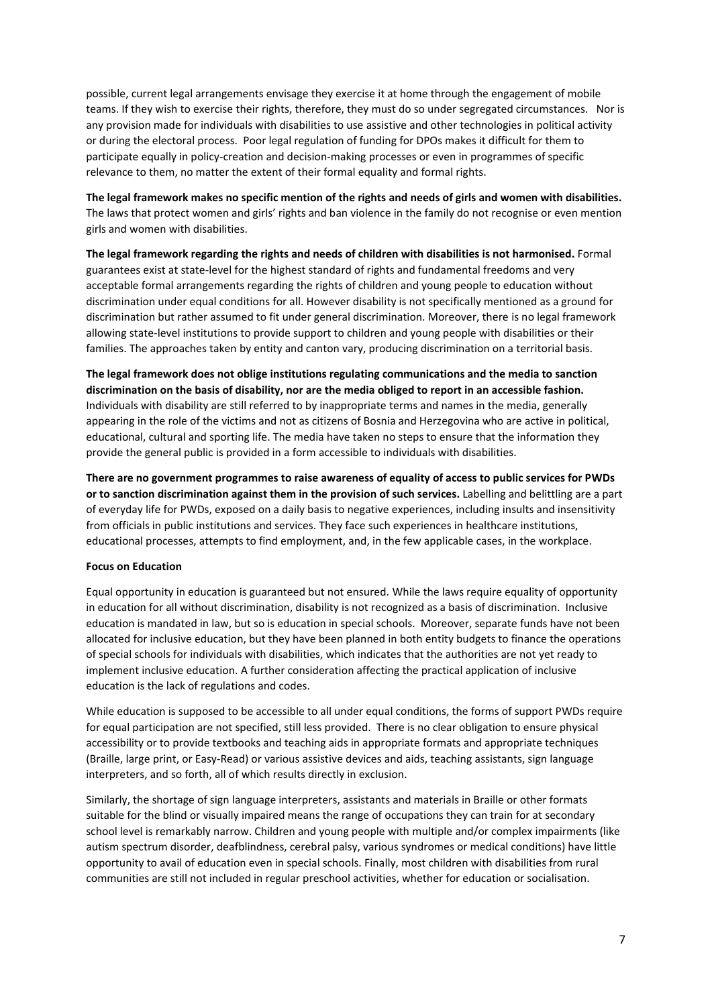possible, current legal arrangements envisage they exercise it at home through the engagement of mobile teams. If they wish to exercise their rights, therefore, they must do so under segregated circumstances. Nor is any provision made for individuals with disabilities to use assistive and other technologies in political activity or during the electoral process. Poor legal regulation of funding for DPOs makes it difficult for them to participate equally in policy-creation and decision-making processes or even in programmes of specific relevance to them, no matter the extent of their formal equality and formal rights.

**The legal framework makes no specific mention of the rights and needs of girls and women with disabilities.**  The laws that protect women and girls' rights and ban violence in the family do not recognise or even mention girls and women with disabilities.

**The legal framework regarding the rights and needs of children with disabilities is not harmonised.** Formal guarantees exist at state-level for the highest standard of rights and fundamental freedoms and very acceptable formal arrangements regarding the rights of children and young people to education without discrimination under equal conditions for all. However disability is not specifically mentioned as a ground for discrimination but rather assumed to fit under general discrimination. Moreover, there is no legal framework allowing state-level institutions to provide support to children and young people with disabilities or their families. The approaches taken by entity and canton vary, producing discrimination on a territorial basis.

**The legal framework does not oblige institutions regulating communications and the media to sanction discrimination on the basis of disability, nor are the media obliged to report in an accessible fashion.** Individuals with disability are still referred to by inappropriate terms and names in the media, generally appearing in the role of the victims and not as citizens of Bosnia and Herzegovina who are active in political, educational, cultural and sporting life. The media have taken no steps to ensure that the information they provide the general public is provided in a form accessible to individuals with disabilities.

**There are no government programmes to raise awareness of equality of access to public services for PWDs or to sanction discrimination against them in the provision of such services.** Labelling and belittling are a part of everyday life for PWDs, exposed on a daily basis to negative experiences, including insults and insensitivity from officials in public institutions and services. They face such experiences in healthcare institutions, educational processes, attempts to find employment, and, in the few applicable cases, in the workplace.

### **Focus on Education**

Equal opportunity in education is guaranteed but not ensured. While the laws require equality of opportunity in education for all without discrimination, disability is not recognized as a basis of discrimination. Inclusive education is mandated in law, but so is education in special schools. Moreover, separate funds have not been allocated for inclusive education, but they have been planned in both entity budgets to finance the operations of special schools for individuals with disabilities, which indicates that the authorities are not yet ready to implement inclusive education. A further consideration affecting the practical application of inclusive education is the lack of regulations and codes.

While education is supposed to be accessible to all under equal conditions, the forms of support PWDs require for equal participation are not specified, still less provided. There is no clear obligation to ensure physical accessibility or to provide textbooks and teaching aids in appropriate formats and appropriate techniques (Braille, large print, or Easy-Read) or various assistive devices and aids, teaching assistants, sign language interpreters, and so forth, all of which results directly in exclusion.

Similarly, the shortage of sign language interpreters, assistants and materials in Braille or other formats suitable for the blind or visually impaired means the range of occupations they can train for at secondary school level is remarkably narrow. Children and young people with multiple and/or complex impairments (like autism spectrum disorder, deafblindness, cerebral palsy, various syndromes or medical conditions) have little opportunity to avail of education even in special schools. Finally, most children with disabilities from rural communities are still not included in regular preschool activities, whether for education or socialisation.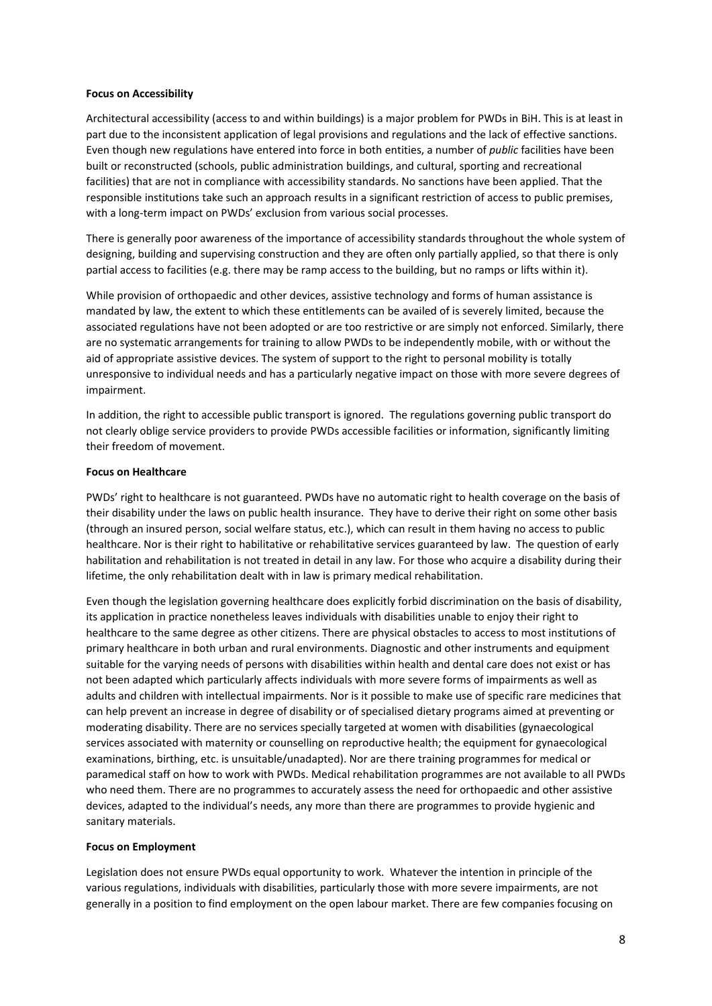#### **Focus on Accessibility**

Architectural accessibility (access to and within buildings) is a major problem for PWDs in BiH. This is at least in part due to the inconsistent application of legal provisions and regulations and the lack of effective sanctions. Even though new regulations have entered into force in both entities, a number of *public* facilities have been built or reconstructed (schools, public administration buildings, and cultural, sporting and recreational facilities) that are not in compliance with accessibility standards. No sanctions have been applied. That the responsible institutions take such an approach results in a significant restriction of access to public premises, with a long-term impact on PWDs' exclusion from various social processes.

There is generally poor awareness of the importance of accessibility standards throughout the whole system of designing, building and supervising construction and they are often only partially applied, so that there is only partial access to facilities (e.g. there may be ramp access to the building, but no ramps or lifts within it).

While provision of orthopaedic and other devices, assistive technology and forms of human assistance is mandated by law, the extent to which these entitlements can be availed of is severely limited, because the associated regulations have not been adopted or are too restrictive or are simply not enforced. Similarly, there are no systematic arrangements for training to allow PWDs to be independently mobile, with or without the aid of appropriate assistive devices. The system of support to the right to personal mobility is totally unresponsive to individual needs and has a particularly negative impact on those with more severe degrees of impairment.

In addition, the right to accessible public transport is ignored. The regulations governing public transport do not clearly oblige service providers to provide PWDs accessible facilities or information, significantly limiting their freedom of movement.

#### **Focus on Healthcare**

PWDs' right to healthcare is not guaranteed. PWDs have no automatic right to health coverage on the basis of their disability under the laws on public health insurance. They have to derive their right on some other basis (through an insured person, social welfare status, etc.), which can result in them having no access to public healthcare. Nor is their right to habilitative or rehabilitative services guaranteed by law. The question of early habilitation and rehabilitation is not treated in detail in any law. For those who acquire a disability during their lifetime, the only rehabilitation dealt with in law is primary medical rehabilitation.

Even though the legislation governing healthcare does explicitly forbid discrimination on the basis of disability, its application in practice nonetheless leaves individuals with disabilities unable to enjoy their right to healthcare to the same degree as other citizens. There are physical obstacles to access to most institutions of primary healthcare in both urban and rural environments. Diagnostic and other instruments and equipment suitable for the varying needs of persons with disabilities within health and dental care does not exist or has not been adapted which particularly affects individuals with more severe forms of impairments as well as adults and children with intellectual impairments. Nor is it possible to make use of specific rare medicines that can help prevent an increase in degree of disability or of specialised dietary programs aimed at preventing or moderating disability. There are no services specially targeted at women with disabilities (gynaecological services associated with maternity or counselling on reproductive health; the equipment for gynaecological examinations, birthing, etc. is unsuitable/unadapted). Nor are there training programmes for medical or paramedical staff on how to work with PWDs. Medical rehabilitation programmes are not available to all PWDs who need them. There are no programmes to accurately assess the need for orthopaedic and other assistive devices, adapted to the individual's needs, any more than there are programmes to provide hygienic and sanitary materials.

#### **Focus on Employment**

Legislation does not ensure PWDs equal opportunity to work. Whatever the intention in principle of the various regulations, individuals with disabilities, particularly those with more severe impairments, are not generally in a position to find employment on the open labour market. There are few companies focusing on